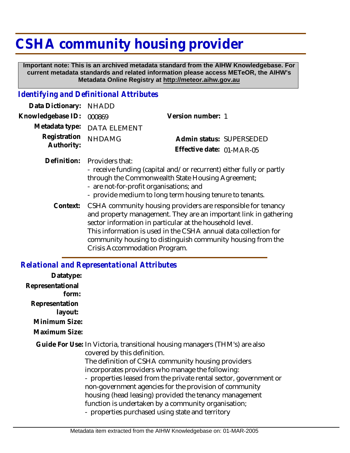# **CSHA community housing provider**

 **Important note: This is an archived metadata standard from the AIHW Knowledgebase. For current metadata standards and related information please access METeOR, the AIHW's Metadata Online Registry at http://meteor.aihw.gov.au**

## *Identifying and Definitional Attributes*

| Data Dictionary:           | <b>NHADD</b>                                               |                                                                                                                                                                                                                                                                                                                                         |  |
|----------------------------|------------------------------------------------------------|-----------------------------------------------------------------------------------------------------------------------------------------------------------------------------------------------------------------------------------------------------------------------------------------------------------------------------------------|--|
| Knowledgebase ID:          | 000869                                                     | Version number: 1                                                                                                                                                                                                                                                                                                                       |  |
| Metadata type:             | <b>DATA ELEMENT</b>                                        |                                                                                                                                                                                                                                                                                                                                         |  |
| Registration<br>Authority: | <b>NHDAMG</b>                                              | Admin status: SUPERSEDED                                                                                                                                                                                                                                                                                                                |  |
|                            |                                                            | Effective date: 01-MAR-05                                                                                                                                                                                                                                                                                                               |  |
| Definition:                | Providers that:<br>- are not-for-profit organisations; and | - receive funding (capital and/or recurrent) either fully or partly<br>through the Commonwealth State Housing Agreement;<br>- provide medium to long term housing tenure to tenants.                                                                                                                                                    |  |
|                            | Crisis Accommodation Program.                              | Context: CSHA community housing providers are responsible for tenancy<br>and property management. They are an important link in gathering<br>sector information in particular at the household level.<br>This information is used in the CSHA annual data collection for<br>community housing to distinguish community housing from the |  |

#### *Relational and Representational Attributes*

| Datatype:                 |                                                                                                                                                                                                                                                                                                                                                                                                                                                                                                                         |
|---------------------------|-------------------------------------------------------------------------------------------------------------------------------------------------------------------------------------------------------------------------------------------------------------------------------------------------------------------------------------------------------------------------------------------------------------------------------------------------------------------------------------------------------------------------|
| Representational<br>form: |                                                                                                                                                                                                                                                                                                                                                                                                                                                                                                                         |
| Representation<br>layout: |                                                                                                                                                                                                                                                                                                                                                                                                                                                                                                                         |
| Minimum Size:             |                                                                                                                                                                                                                                                                                                                                                                                                                                                                                                                         |
| Maximum Size:             |                                                                                                                                                                                                                                                                                                                                                                                                                                                                                                                         |
|                           | Guide For Use: In Victoria, transitional housing managers (THM's) are also<br>covered by this definition.<br>The definition of CSHA community housing providers<br>incorporates providers who manage the following:<br>- properties leased from the private rental sector, government or<br>non-government agencies for the provision of community<br>housing (head leasing) provided the tenancy management<br>function is undertaken by a community organisation;<br>- properties purchased using state and territory |